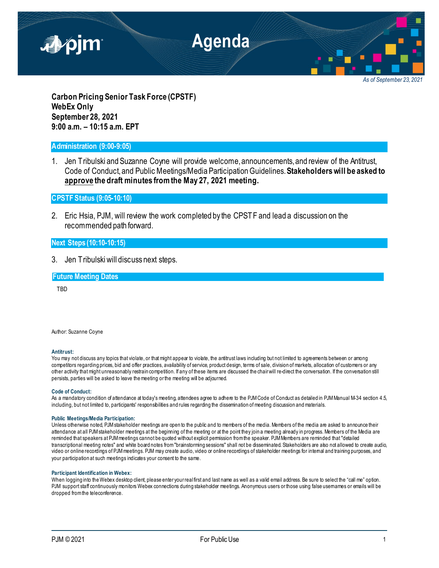

*As of September 23, 2021*

**Carbon Pricing Senior Task Force (CPSTF) WebEx Only September 28, 2021 9:00 a.m. – 10:15 a.m. EPT**

# **Administration (9:00-9:05)**

1. Jen Tribulski and Suzanne Coyne will provide welcome, announcements, and review of the Antitrust, Code of Conduct, and Public Meetings/Media Participation Guidelines. **Stakeholderswill be asked to approve the draft minutes from the May 27, 2021 meeting.**

**CPSTF Status (9:05-10:10)**

2. Eric Hsia, PJM, will review the work completed by the CPSTF and lead a discussion on the recommended path forward.

## **Next Steps (10:10-10:15)**

3. Jen Tribulski will discuss next steps.

**Future Meeting Dates**

TBD

Author: Suzanne Coyne

#### **Antitrust:**

You may not discuss any topics that violate, or that might appear to violate, the antitrust laws including but not limited to agreements between or among competitors regarding prices, bid and offer practices, availability of service, product design, terms of sale, division of markets, allocation of customers or any other activity that might unreasonably restrain competition. If any of these items are discussed the chair will re-direct the conversation. If the conversation still persists, parties will be asked to leave the meeting or the meeting will be adjourned.

#### **Code of Conduct:**

As a mandatory condition of attendance at today's meeting, attendees agree to adhere to the PJM Code of Conduct as detailed in PJM Manual M-34 section 4.5, including, but not limited to, participants' responsibilities and rules regarding the dissemination of meeting discussion and materials.

#### **Public Meetings/Media Participation:**

Unless otherwise noted, PJM stakeholder meetings are open to the public and to members of the media. Members of the media are asked to announce their attendance at all PJM stakeholder meetings at the beginning of the meeting or at the point they join a meeting already in progress. Members of the Media are reminded that speakers at PJM meetings cannot be quoted without explicit permission from the speaker. PJM Members are reminded that "detailed transcriptional meeting notes" and white board notes from "brainstorming sessions" shall not be disseminated. Stakeholders are also not allowed to create audio, video or online recordings of PJM meetings. PJM may create audio, video or online recordings of stakeholder meetings for internal and training purposes, and your participation at such meetings indicates your consent to the same.

### **Participant Identification in Webex:**

When logging into the Webex desktop client, please enter your real first and last name as well as a valid email address. Be sure to select the "call me" option. PJM support staff continuously monitors Webex connections during stakeholder meetings. Anonymous users or those using false usernames or emails will be dropped from the teleconference.